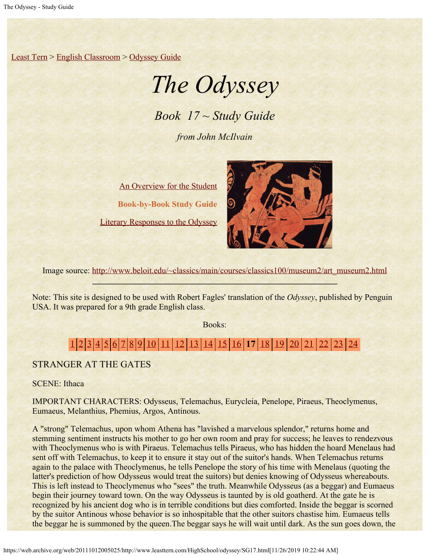[Least Tern](https://web.archive.org/web/20111012005025/http://www.leasttern.com/index.html) > [English Classroom](https://web.archive.org/web/20111012005025/http://www.leasttern.com/Engclass.html) > [Odyssey Guide](https://web.archive.org/web/20111012005025/http://www.leasttern.com/HighSchool/odyssey/Odyssey.html)

# *The Odyssey*

*Book 17 ~ Study Guide*

*from John McIlvain*

[An Overview for the Student](https://web.archive.org/web/20111012005025/http://www.leasttern.com/HighSchool/odyssey/Odyssey1.html) **Book-by-Book Study Guide** [Literary Responses to the Odyssey](https://web.archive.org/web/20111012005025/http://www.leasttern.com/HighSchool/odyssey/Odysseyresponses.html)



Image source: [http://www.beloit.edu/~classics/main/courses/classics100/museum2/art\\_museum2.html](https://web.archive.org/web/20111012005025/http://www.beloit.edu/%7Eclassics/main/courses/classics100/museum2/art_museum2.html)

Note: This site is designed to be used with Robert Fagles' translation of the *Odyssey*, published by Penguin USA. It was prepared for a 9th grade English class.

Books:

## [1](https://web.archive.org/web/20111012005025/http://www.leasttern.com/HighSchool/odyssey/SG1.html) [2](https://web.archive.org/web/20111012005025/http://www.leasttern.com/HighSchool/odyssey/SG2.html) [3](https://web.archive.org/web/20111012005025/http://www.leasttern.com/HighSchool/odyssey/SG3.html) [4](https://web.archive.org/web/20111012005025/http://www.leasttern.com/HighSchool/odyssey/SG4.html) [5](https://web.archive.org/web/20111012005025/http://www.leasttern.com/HighSchool/odyssey/SG5.html) [6](https://web.archive.org/web/20111012005025/http://www.leasttern.com/HighSchool/odyssey/SG6.html) [7](https://web.archive.org/web/20111012005025/http://www.leasttern.com/HighSchool/odyssey/SG7.html) [8](https://web.archive.org/web/20111012005025/http://www.leasttern.com/HighSchool/odyssey/SG8.html) [9](https://web.archive.org/web/20111012005025/http://www.leasttern.com/HighSchool/odyssey/SG9.html) [10](https://web.archive.org/web/20111012005025/http://www.leasttern.com/HighSchool/odyssey/SG10.html) [11](https://web.archive.org/web/20111012005025/http://www.leasttern.com/HighSchool/odyssey/SG11.html) [12](https://web.archive.org/web/20111012005025/http://www.leasttern.com/HighSchool/odyssey/SG12.html) [13](https://web.archive.org/web/20111012005025/http://www.leasttern.com/HighSchool/odyssey/SG13.html) [14](https://web.archive.org/web/20111012005025/http://www.leasttern.com/HighSchool/odyssey/SG14.html) [15](https://web.archive.org/web/20111012005025/http://www.leasttern.com/HighSchool/odyssey/SG15.html) [16](https://web.archive.org/web/20111012005025/http://www.leasttern.com/HighSchool/odyssey/SG16.html) **17** [18](https://web.archive.org/web/20111012005025/http://www.leasttern.com/HighSchool/odyssey/SG18.html) [19](https://web.archive.org/web/20111012005025/http://www.leasttern.com/HighSchool/odyssey/SG19.html) [20](https://web.archive.org/web/20111012005025/http://www.leasttern.com/HighSchool/odyssey/SG20.html) [21](https://web.archive.org/web/20111012005025/http://www.leasttern.com/HighSchool/odyssey/SG21.html) [22](https://web.archive.org/web/20111012005025/http://www.leasttern.com/HighSchool/odyssey/SG22.html) [23](https://web.archive.org/web/20111012005025/http://www.leasttern.com/HighSchool/odyssey/SG23.html) [24](https://web.archive.org/web/20111012005025/http://www.leasttern.com/HighSchool/odyssey/SG24.html)

STRANGER AT THE GATES

SCENE: Ithaca

IMPORTANT CHARACTERS: Odysseus, Telemachus, Eurycleia, Penelope, Piraeus, Theoclymenus, Eumaeus, Melanthius, Phemius, Argos, Antinous.

A "strong" Telemachus, upon whom Athena has "lavished a marvelous splendor," returns home and stemming sentiment instructs his mother to go her own room and pray for success; he leaves to rendezvous with Theoclymenus who is with Piraeus. Telemachus tells Piraeus, who has hidden the hoard Menelaus had sent off with Telemachus, to keep it to ensure it stay out of the suitor's hands. When Telemachus returns again to the palace with Theoclymenus, he tells Penelope the story of his time with Menelaus (quoting the latter's prediction of how Odysseus would treat the suitors) but denies knowing of Odysseus whereabouts. This is left instead to Theoclymenus who "sees" the truth. Meanwhile Odysseus (as a beggar) and Eumaeus begin their journey toward town. On the way Odysseus is taunted by is old goatherd. At the gate he is recognized by his ancient dog who is in terrible conditions but dies comforted. Inside the beggar is scorned by the suitor Antinous whose behavior is so inhospitable that the other suitors chastise him. Eumaeus tells the beggar he is summoned by the queen.The beggar says he will wait until dark. As the sun goes down, the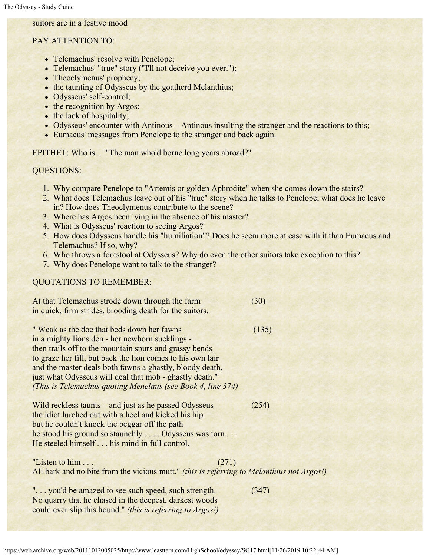### suitors are in a festive mood

#### PAY ATTENTION TO:

- Telemachus' resolve with Penelope;
- Telemachus' "true" story ("I'll not deceive you ever.");
- Theoclymenus' prophecy;
- the taunting of Odysseus by the goatherd Melanthius;
- Odysseus' self-control;
- the recognition by Argos;
- the lack of hospitality;
- Odysseus' encounter with Antinous Antinous insulting the stranger and the reactions to this;
- Eumaeus' messages from Penelope to the stranger and back again.

EPITHET: Who is... "The man who'd borne long years abroad?"

#### QUESTIONS:

- 1. Why compare Penelope to "Artemis or golden Aphrodite" when she comes down the stairs?
- 2. What does Telemachus leave out of his "true" story when he talks to Penelope; what does he leave in? How does Theoclymenus contribute to the scene?
- 3. Where has Argos been lying in the absence of his master?
- 4. What is Odysseus' reaction to seeing Argos?
- 5. How does Odysseus handle his "humiliation"? Does he seem more at ease with it than Eumaeus and Telemachus? If so, why?
- 6. Who throws a footstool at Odysseus? Why do even the other suitors take exception to this?
- 7. Why does Penelope want to talk to the stranger?

#### QUOTATIONS TO REMEMBER:

| At that Telemachus strode down through the farm         | (30) |
|---------------------------------------------------------|------|
| in quick, firm strides, brooding death for the suitors. |      |

" Weak as the doe that beds down her fawns (135) in a mighty lions den - her newborn sucklings then trails off to the mountain spurs and grassy bends to graze her fill, but back the lion comes to his own lair and the master deals both fawns a ghastly, bloody death, just what Odysseus will deal that mob - ghastly death." *(This is Telemachus quoting Menelaus (see Book 4, line 374)*

Wild reckless taunts – and just as he passed Odysseus (254) the idiot lurched out with a heel and kicked his hip but he couldn't knock the beggar off the path he stood his ground so staunchly . . . . Odysseus was torn . . . He steeled himself . . . his mind in full control.

"Listen to him  $\ldots$  (271) All bark and no bite from the vicious mutt." *(this is referring to Melanthius not Argos!)*

"... you'd be amazed to see such speed, such strength. (347) No quarry that he chased in the deepest, darkest woods could ever slip this hound." *(this is referring to Argos!)*